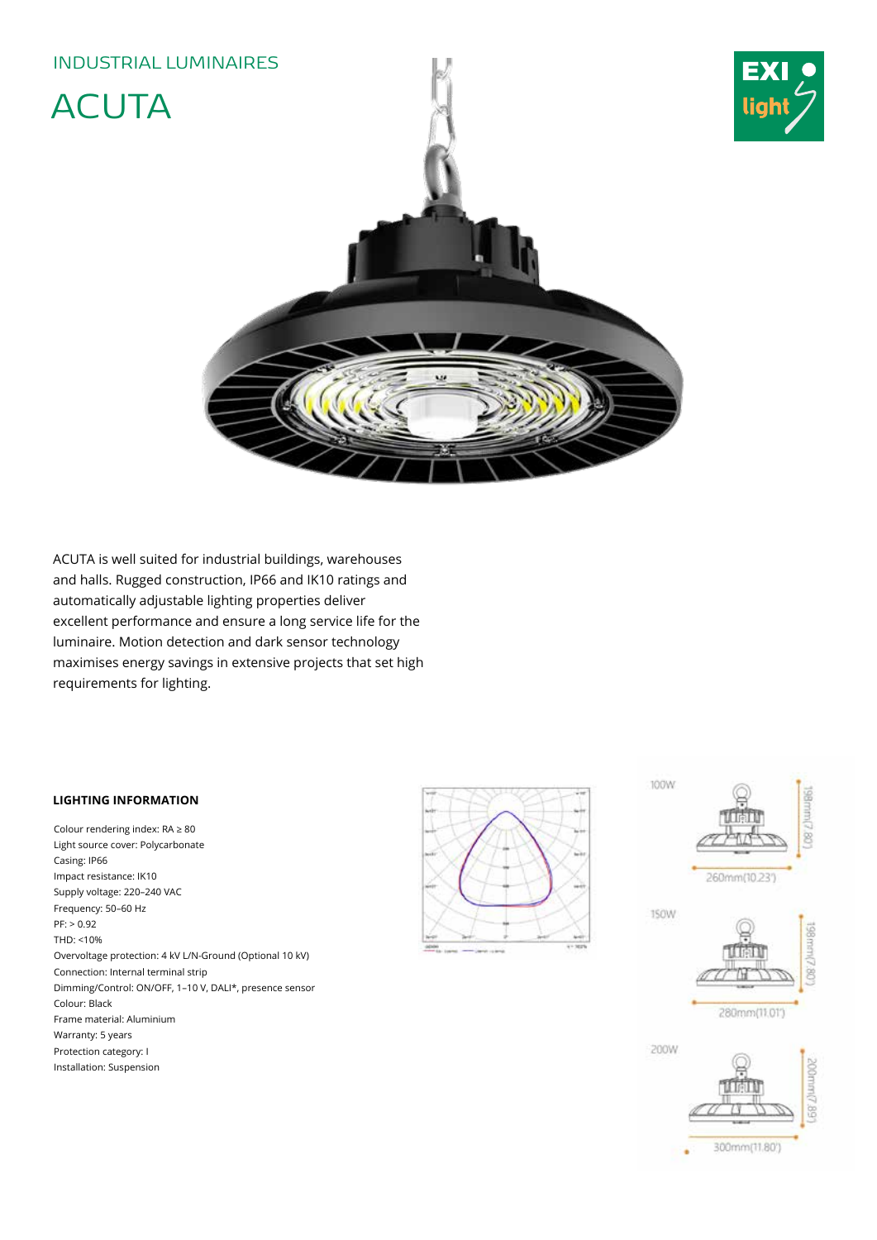# INDUSTRIAL LUMINAIRES ACUTA ŵ

ACUTA is well suited for industrial buildings, warehouses and halls. Rugged construction, IP66 and IK10 ratings and automatically adjustable lighting properties deliver excellent performance and ensure a long service life for the luminaire. Motion detection and dark sensor technology maximises energy savings in extensive projects that set high requirements for lighting.

### **LIGHTING INFORMATION**

Colour rendering index: RA ≥ 80 Light source cover: Polycarbonate Casing: IP66 Impact resistance: IK10 Supply voltage: 220–240 VAC Frequency: 50–60 Hz  $PF: > 0.92$ THD: <10% Overvoltage protection: 4 kV L/N-Ground (Optional 10 kV) Connection: Internal terminal strip Dimming/Control: ON/OFF, 1–10 V, DALI\*, presence sensor Colour: Black Frame material: Aluminium Warranty: 5 years Protection category: I Installation: Suspension



100W

260mm(10.23")

8

liah

190W